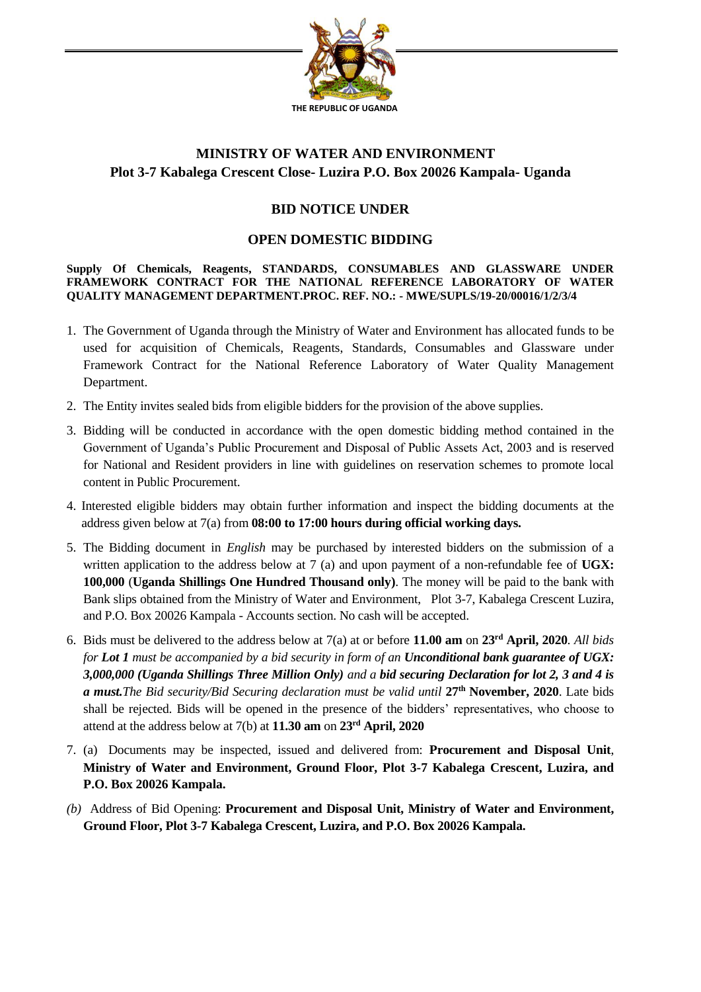

# **MINISTRY OF WATER AND ENVIRONMENT Plot 3-7 Kabalega Crescent Close- Luzira P.O. Box 20026 Kampala- Uganda**

# **BID NOTICE UNDER**

#### **OPEN DOMESTIC BIDDING**

**Supply Of Chemicals, Reagents, STANDARDS, CONSUMABLES AND GLASSWARE UNDER FRAMEWORK CONTRACT FOR THE NATIONAL REFERENCE LABORATORY OF WATER QUALITY MANAGEMENT DEPARTMENT.PROC. REF. NO.: - MWE/SUPLS/19-20/00016/1/2/3/4**

- 1. The Government of Uganda through the Ministry of Water and Environment has allocated funds to be used for acquisition of Chemicals, Reagents, Standards, Consumables and Glassware under Framework Contract for the National Reference Laboratory of Water Quality Management Department.
- 2. The Entity invites sealed bids from eligible bidders for the provision of the above supplies.
- 3. Bidding will be conducted in accordance with the open domestic bidding method contained in the Government of Uganda's Public Procurement and Disposal of Public Assets Act, 2003 and is reserved for National and Resident providers in line with guidelines on reservation schemes to promote local content in Public Procurement.
- 4. Interested eligible bidders may obtain further information and inspect the bidding documents at the address given below at 7(a) from **08:00 to 17:00 hours during official working days.**
- 5. The Bidding document in *English* may be purchased by interested bidders on the submission of a written application to the address below at 7 (a) and upon payment of a non-refundable fee of UGX: **100,000** (**Uganda Shillings One Hundred Thousand only)**. The money will be paid to the bank with Bank slips obtained from the Ministry of Water and Environment, Plot 3-7, Kabalega Crescent Luzira, and P.O. Box 20026 Kampala - Accounts section. No cash will be accepted.
- 6. Bids must be delivered to the address below at 7(a) at or before **11.00 am** on **23rd April, 2020***. All bids for Lot 1 must be accompanied by a bid security in form of an Unconditional bank guarantee of UGX: 3,000,000 (Uganda Shillings Three Million Only) and a bid securing Declaration for lot 2, 3 and 4 is a must.The Bid security/Bid Securing declaration must be valid until* **27th November, 2020**. Late bids shall be rejected. Bids will be opened in the presence of the bidders' representatives, who choose to attend at the address below at 7(b) at **11.30 am** on **23rd April, 2020**
- 7. (a) Documents may be inspected, issued and delivered from: **Procurement and Disposal Unit**, **Ministry of Water and Environment, Ground Floor, Plot 3-7 Kabalega Crescent, Luzira, and P.O. Box 20026 Kampala.**
- *(b)* Address of Bid Opening: **Procurement and Disposal Unit, Ministry of Water and Environment, Ground Floor, Plot 3-7 Kabalega Crescent, Luzira, and P.O. Box 20026 Kampala.**